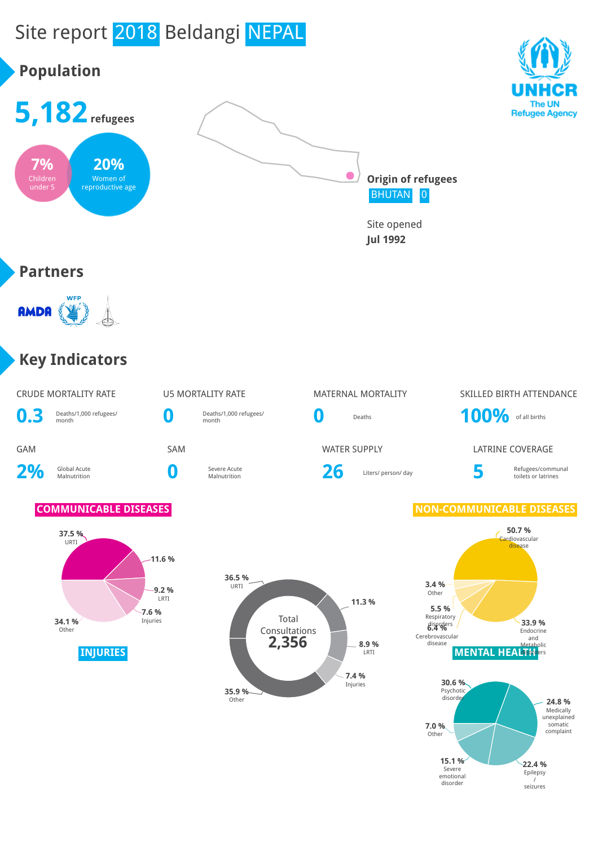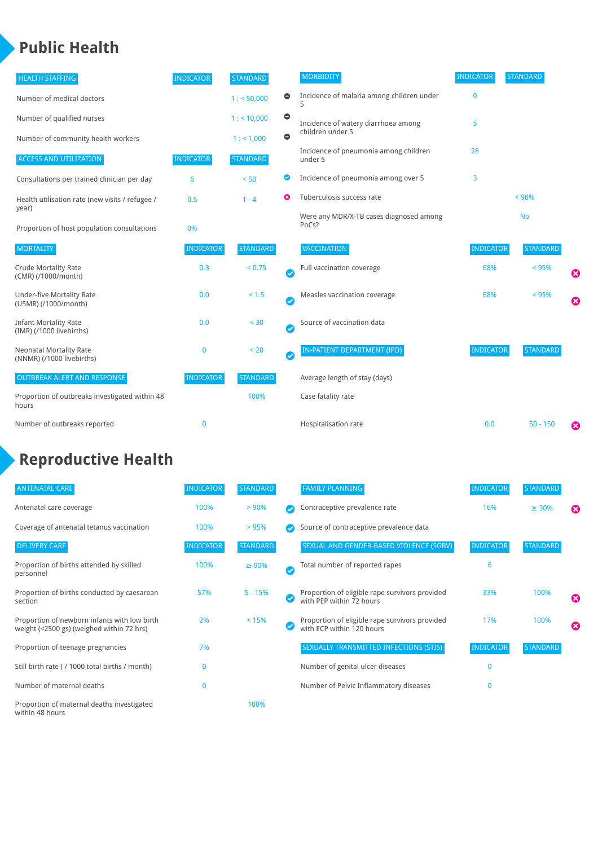## **Public Health**

| <b>HEALTH STAFFING</b>                                      | <b>INDICATOR</b> | <b>STANDARD</b> |           | <b>MORBIDITY</b>                                 | <b>INDICATOR</b> | <b>STANDARD</b> |   |
|-------------------------------------------------------------|------------------|-----------------|-----------|--------------------------------------------------|------------------|-----------------|---|
| Number of medical doctors                                   |                  | 1: 50,000       | $\bullet$ | Incidence of malaria among children under        | $\bf{0}$         |                 |   |
| Number of qualified nurses                                  |                  | 1:10,000        | $\bullet$ | Incidence of watery diarrhoea among              | 5                |                 |   |
| Number of community health workers                          |                  | 1: 1,000        | $\bullet$ | children under 5                                 |                  |                 |   |
| <b>ACCESS AND UTILIZATION</b>                               | <b>INDICATOR</b> | <b>STANDARD</b> |           | Incidence of pneumonia among children<br>under 5 | 28               |                 |   |
| Consultations per trained clinician per day                 | 6                | < 50            | Ø         | Incidence of pneumonia among over 5              | 3                |                 |   |
| Health utilisation rate (new visits / refugee /             | 0.5              | $1 - 4$         | ణ         | Tuberculosis success rate                        |                  | < 90%           |   |
| year)<br>Proportion of host population consultations        | 0%               |                 |           | Were any MDR/X-TB cases diagnosed among<br>PoCs? |                  | <b>No</b>       |   |
| <b>MORTALITY</b>                                            | <b>INDICATOR</b> | <b>STANDARD</b> |           | <b>VACCINATION</b>                               | <b>INDICATOR</b> | <b>STANDARD</b> |   |
| <b>Crude Mortality Rate</b><br>(CMR) (/1000/month)          | 0.3              | < 0.75          | Ø         | Full vaccination coverage                        | 68%              | < 95%           | ೞ |
| Under-five Mortality Rate<br>(U5MR) (/1000/month)           | 0.0              | < 1.5           | Ø         | Measles vaccination coverage                     | 68%              | < 95%           | Ø |
| <b>Infant Mortality Rate</b><br>(IMR) (/1000 livebirths)    | 0.0              | < 30            | $\bullet$ | Source of vaccination data                       |                  |                 |   |
| <b>Neonatal Mortality Rate</b><br>(NNMR) (/1000 livebirths) | 0                | < 20            | $\bullet$ | IN-PATIENT DEPARTMENT (IPD)                      | <b>INDICATOR</b> | <b>STANDARD</b> |   |
| <b>OUTBREAK ALERT AND RESPONSE</b>                          | <b>INDICATOR</b> | <b>STANDARD</b> |           | Average length of stay (days)                    |                  |                 |   |
| Proportion of outbreaks investigated within 48<br>hours     |                  | 100%            |           | Case fatality rate                               |                  |                 |   |
| Number of outbreaks reported                                | 0                |                 |           | Hospitalisation rate                             | 0.0              | $50 - 150$      | Ø |

# **Reproductive Health**

| <b>ANTENATAL CARE</b>                                                                     | <b>INDICATOR</b> | <b>STANDARD</b> |              | <b>FAMILY PLANNING</b>                                                      | <b>INDICATOR</b> | <b>STANDARD</b> |   |
|-------------------------------------------------------------------------------------------|------------------|-----------------|--------------|-----------------------------------------------------------------------------|------------------|-----------------|---|
| Antenatal care coverage                                                                   | 100%             | > 90%           |              | Contraceptive prevalence rate                                               | 16%              | $\geq 30\%$     | ⊠ |
| Coverage of antenatal tetanus vaccination                                                 | 100%             | > 95%           |              | Source of contraceptive prevalence data                                     |                  |                 |   |
| <b>DELIVERY CARE</b>                                                                      | <b>INDICATOR</b> | <b>STANDARD</b> |              | SEXUAL AND GENDER-BASED VIOLENCE (SGBV)                                     | <b>INDICATOR</b> | <b>STANDARD</b> |   |
| Proportion of births attended by skilled<br>personnel                                     | 100%             | $\geq 90\%$     | $\checkmark$ | Total number of reported rapes                                              | 6                |                 |   |
| Proportion of births conducted by caesarean<br>section                                    | 57%              | $5 - 15%$       |              | Proportion of eligible rape survivors provided<br>with PEP within 72 hours  | 33%              | 100%            | ೞ |
| Proportion of newborn infants with low birth<br>weight (<2500 gs) (weighed within 72 hrs) | 2%               | < 15%           |              | Proportion of eligible rape survivors provided<br>with ECP within 120 hours | 17%              | 100%            | ೞ |
| Proportion of teenage pregnancies                                                         | 7%               |                 |              | SEXUALLY TRANSMITTED INFECTIONS (STIS)                                      | <b>INDICATOR</b> | <b>STANDARD</b> |   |
| Still birth rate (/ 1000 total births / month)                                            | 0                |                 |              | Number of genital ulcer diseases                                            | $\Omega$         |                 |   |
| Number of maternal deaths                                                                 | $\bf{0}$         |                 |              | Number of Pelvic Inflammatory diseases                                      | $\Omega$         |                 |   |
| Proportion of maternal deaths investigated<br>within 48 hours                             |                  | 100%            |              |                                                                             |                  |                 |   |